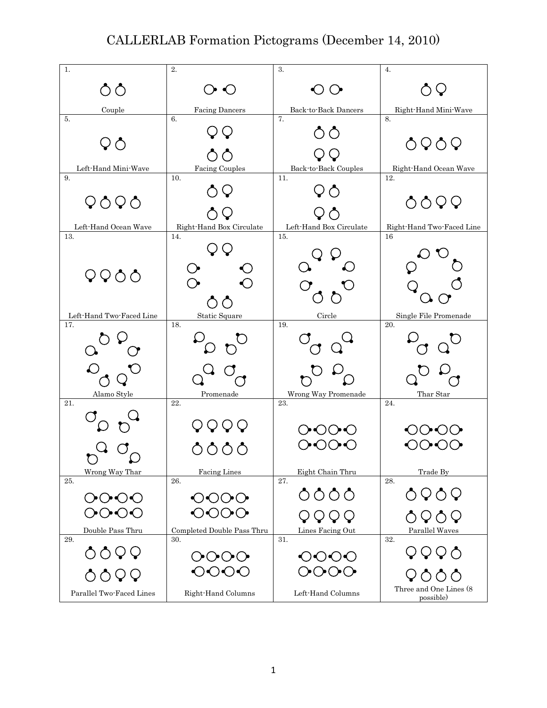## CALLERLAB Formation Pictograms (December 14, 2010)

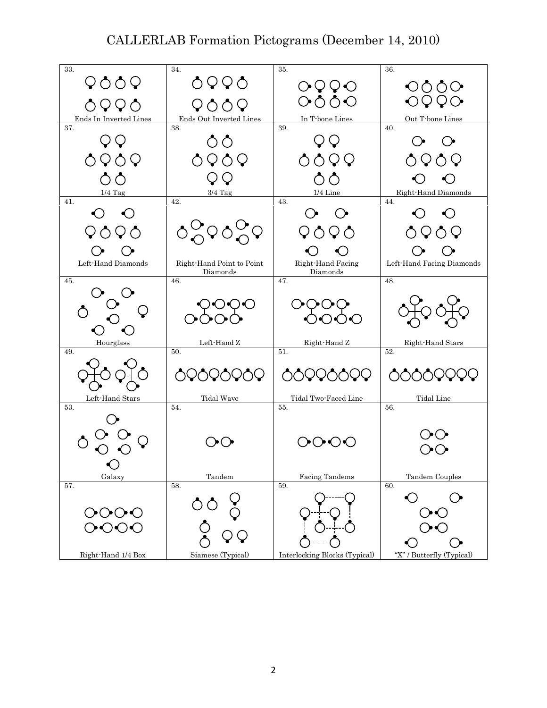## CALLERLAB Formation Pictograms (December 14, 2010)